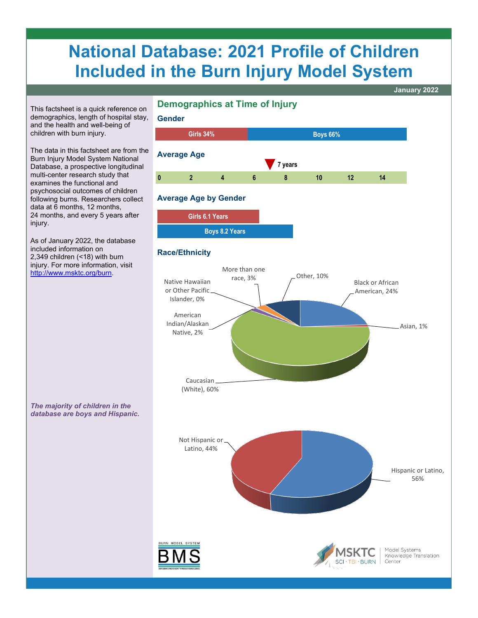# **National Database: 2021 Profile of Children Included in the Burn Injury Model System**

This factsheet is a quick reference on demographics, length of hospital stay, and the health and well-being of children with burn injury.

The data in this factsheet are from the Burn Injury Model System National Database, a prospective longitudinal multi-center research study that examines the functional and psychosocial outcomes of children following burns. Researchers collect data at 6 months, 12 months, 24 months, and every 5 years after injury.

As of January 2022, the database included information on 2,349 children (<18) with burn injury. For more information, visit [http://www.msktc.org/burn.](http://www.msktc.org/burn)



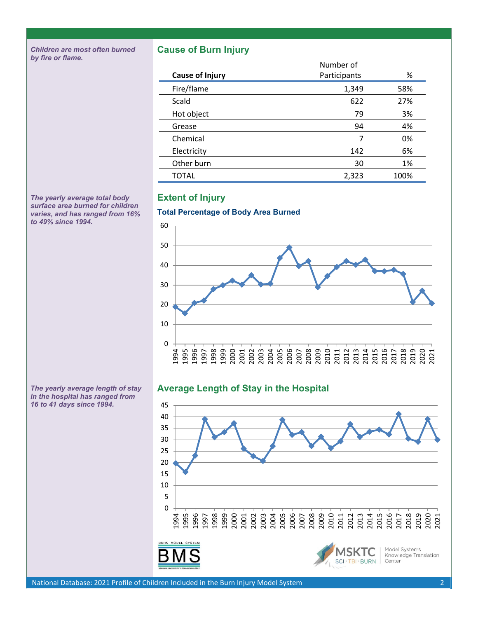*Children are most often burned by fire or flame.*

### **Cause of Burn Injury**

|                        | Number of    |      |
|------------------------|--------------|------|
| <b>Cause of Injury</b> | Participants | %    |
| Fire/flame             | 1,349        | 58%  |
| Scald                  | 622          | 27%  |
| Hot object             | 79           | 3%   |
| Grease                 | 94           | 4%   |
| Chemical               | 7            | 0%   |
| Electricity            | 142          | 6%   |
| Other burn             | 30           | 1%   |
| TOTAL                  | 2,323        | 100% |

*The yearly average total body surface area burned for children varies, and has ranged from 16% to 49% since 1994.*

## **Extent of Injury**



## **Average Length of Stay in the Hospital**



*The yearly average length of stay in the hospital has ranged from 16 to 41 days since 1994.*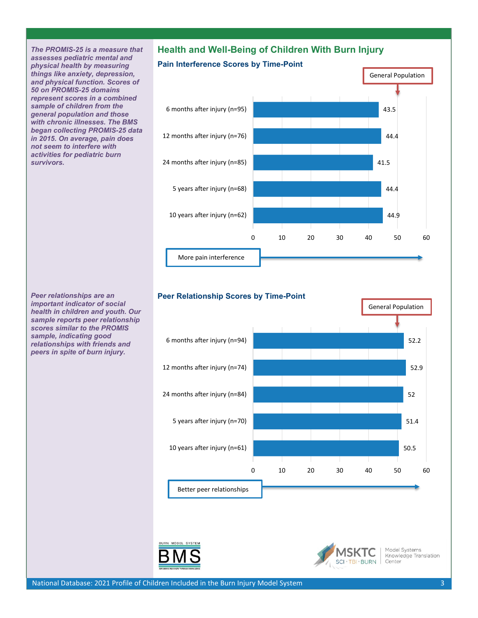*The PROMIS-25 is a measure that assesses pediatric mental and physical health by measuring things like anxiety, depression, and physical function. Scores of 50 on PROMIS-25 domains represent scores in a combined sample of children from the general population and those with chronic illnesses. The BMS began collecting PROMIS-25 data in 2015. On average, pain does not seem to interfere with activities for pediatric burn survivors.* 

## **Health and Well-Being of Children With Burn Injury**

## **Pain Interference Scores by Time-Point**





#### **Peer Relationship Scores by Time-Point**